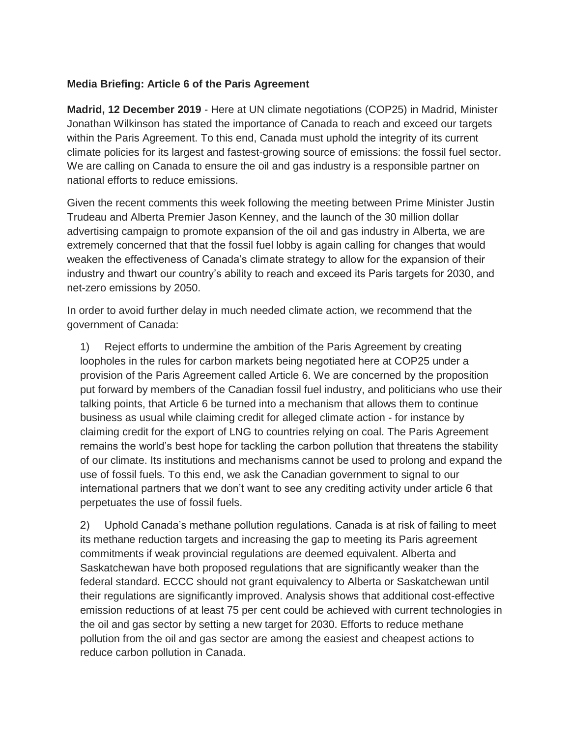#### **Media Briefing: Article 6 of the Paris Agreement**

**Madrid, 12 December 2019** - Here at UN climate negotiations (COP25) in Madrid, Minister Jonathan Wilkinson has stated the importance of Canada to reach and exceed our targets within the Paris Agreement. To this end, Canada must uphold the integrity of its current climate policies for its largest and fastest-growing source of emissions: the fossil fuel sector. We are calling on Canada to ensure the oil and gas industry is a responsible partner on national efforts to reduce emissions.

Given the recent comments this week following the meeting between Prime Minister Justin Trudeau and Alberta Premier Jason Kenney, and the launch of the 30 million dollar advertising campaign to promote expansion of the oil and gas industry in Alberta, we are extremely concerned that that the fossil fuel lobby is again calling for changes that would weaken the effectiveness of Canada's climate strategy to allow for the expansion of their industry and thwart our country's ability to reach and exceed its Paris targets for 2030, and net-zero emissions by 2050.

In order to avoid further delay in much needed climate action, we recommend that the government of Canada:

1) Reject efforts to undermine the ambition of the Paris Agreement by creating loopholes in the rules for carbon markets being negotiated here at COP25 under a provision of the Paris Agreement called Article 6. We are concerned by the proposition put forward by members of the Canadian fossil fuel industry, and politicians who use their talking points, that Article 6 be turned into a mechanism that allows them to continue business as usual while claiming credit for alleged climate action - for instance by claiming credit for the export of LNG to countries relying on coal. The Paris Agreement remains the world's best hope for tackling the carbon pollution that threatens the stability of our climate. Its institutions and mechanisms cannot be used to prolong and expand the use of fossil fuels. To this end, we ask the Canadian government to signal to our international partners that we don't want to see any crediting activity under article 6 that perpetuates the use of fossil fuels.

2) Uphold Canada's methane pollution regulations. Canada is at risk of failing to meet its methane reduction targets and increasing the gap to meeting its Paris agreement commitments if weak provincial regulations are deemed equivalent. Alberta and Saskatchewan have both proposed regulations that are significantly weaker than the federal standard. ECCC should not grant equivalency to Alberta or Saskatchewan until their regulations are significantly improved. Analysis shows that additional cost-effective emission reductions of at least 75 per cent could be achieved with current technologies in the oil and gas sector by setting a new target for 2030. Efforts to reduce methane pollution from the oil and gas sector are among the easiest and cheapest actions to reduce carbon pollution in Canada.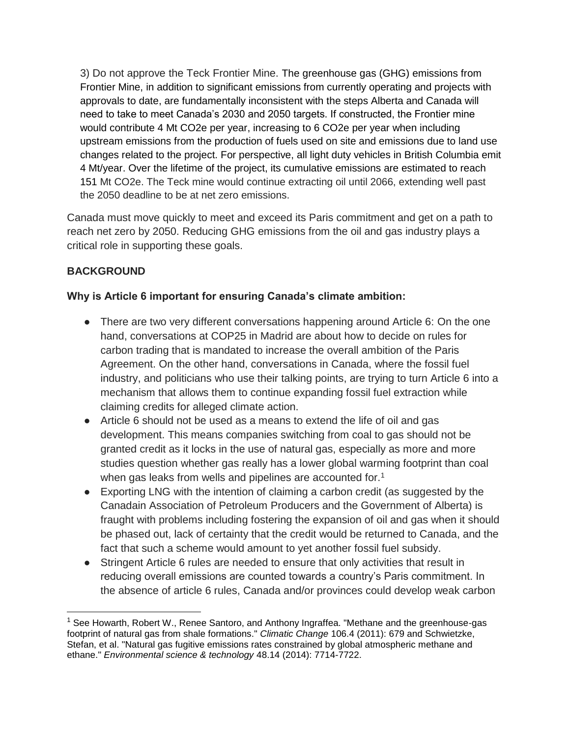3) Do not approve the Teck Frontier Mine. The greenhouse gas (GHG) emissions from Frontier Mine, in addition to significant emissions from currently operating and projects with approvals to date, are fundamentally inconsistent with the steps Alberta and Canada will need to take to meet Canada's 2030 and 2050 targets. If constructed, the Frontier mine would contribute 4 Mt CO2e per year, increasing to 6 CO2e per year when including upstream emissions from the production of fuels used on site and emissions due to land use changes related to the project. For perspective, all light duty vehicles in British Columbia emit 4 Mt/year. Over the lifetime of the project, its cumulative emissions are estimated to reach 151 Mt CO2e. The Teck mine would continue extracting oil until 2066, extending well past the 2050 deadline to be at net zero emissions.

Canada must move quickly to meet and exceed its Paris commitment and get on a path to reach net zero by 2050. Reducing GHG emissions from the oil and gas industry plays a critical role in supporting these goals.

# **BACKGROUND**

### **Why is Article 6 important for ensuring Canada's climate ambition:**

- There are two very different conversations happening around Article 6: On the one hand, conversations at COP25 in Madrid are about how to decide on rules for carbon trading that is mandated to increase the overall ambition of the Paris Agreement. On the other hand, conversations in Canada, where the fossil fuel industry, and politicians who use their talking points, are trying to turn Article 6 into a mechanism that allows them to continue expanding fossil fuel extraction while claiming credits for alleged climate action.
- Article 6 should not be used as a means to extend the life of oil and gas development. This means companies switching from coal to gas should not be granted credit as it locks in the use of natural gas, especially as more and more studies question whether gas really has a lower global warming footprint than coal when gas leaks from wells and pipelines are accounted for.<sup>1</sup>
- Exporting LNG with the intention of claiming a carbon credit (as suggested by the Canadain Association of Petroleum Producers and the Government of Alberta) is fraught with problems including fostering the expansion of oil and gas when it should be phased out, lack of certainty that the credit would be returned to Canada, and the fact that such a scheme would amount to yet another fossil fuel subsidy.
- Stringent Article 6 rules are needed to ensure that only activities that result in reducing overall emissions are counted towards a country's Paris commitment. In the absence of article 6 rules, Canada and/or provinces could develop weak carbon

<sup>&</sup>lt;sup>1</sup> See Howarth, Robert W., Renee Santoro, and Anthony Ingraffea. "Methane and the greenhouse-gas footprint of natural gas from shale formations." *Climatic Change* 106.4 (2011): 679 and Schwietzke, Stefan, et al. "Natural gas fugitive emissions rates constrained by global atmospheric methane and ethane." *Environmental science & technology* 48.14 (2014): 7714-7722.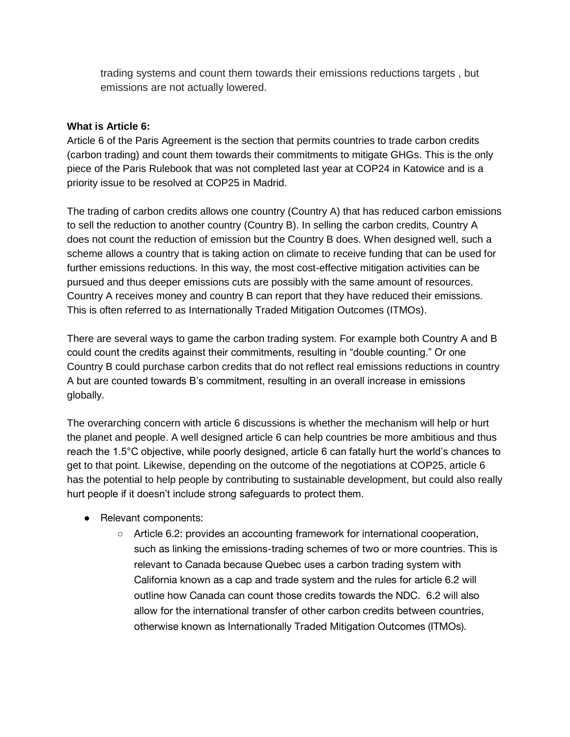trading systems and count them towards their emissions reductions targets , but emissions are not actually lowered.

#### **What is Article 6:**

Article 6 of the Paris Agreement is the section that permits countries to trade carbon credits (carbon trading) and count them towards their commitments to mitigate GHGs. This is the only piece of the Paris Rulebook that was not completed last year at COP24 in Katowice and is a priority issue to be resolved at COP25 in Madrid.

The trading of carbon credits allows one country (Country A) that has reduced carbon emissions to sell the reduction to another country (Country B). In selling the carbon credits, Country A does not count the reduction of emission but the Country B does. When designed well, such a scheme allows a country that is taking action on climate to receive funding that can be used for further emissions reductions. In this way, the most cost-effective mitigation activities can be pursued and thus deeper emissions cuts are possibly with the same amount of resources. Country A receives money and country B can report that they have reduced their emissions. This is often referred to as Internationally Traded Mitigation Outcomes (ITMOs).

There are several ways to game the carbon trading system. For example both Country A and B could count the credits against their commitments, resulting in "double counting." Or one Country B could purchase carbon credits that do not reflect real emissions reductions in country A but are counted towards B's commitment, resulting in an overall increase in emissions globally.

The overarching concern with article 6 discussions is whether the mechanism will help or hurt the planet and people. A well designed article 6 can help countries be more ambitious and thus reach the 1.5°C objective, while poorly designed, article 6 can fatally hurt the world's chances to get to that point. Likewise, depending on the outcome of the negotiations at COP25, article 6 has the potential to help people by contributing to sustainable development, but could also really hurt people if it doesn't include strong safeguards to protect them.

- Relevant components:
	- Article 6.2: provides an accounting framework for international cooperation, such as linking the emissions-trading schemes of two or more countries. This is relevant to Canada because Quebec uses a carbon trading system with California known as a cap and trade system and the rules for article 6.2 will outline how Canada can count those credits towards the NDC. 6.2 will also allow for the international transfer of other carbon credits between countries, otherwise known as Internationally Traded Mitigation Outcomes (ITMOs).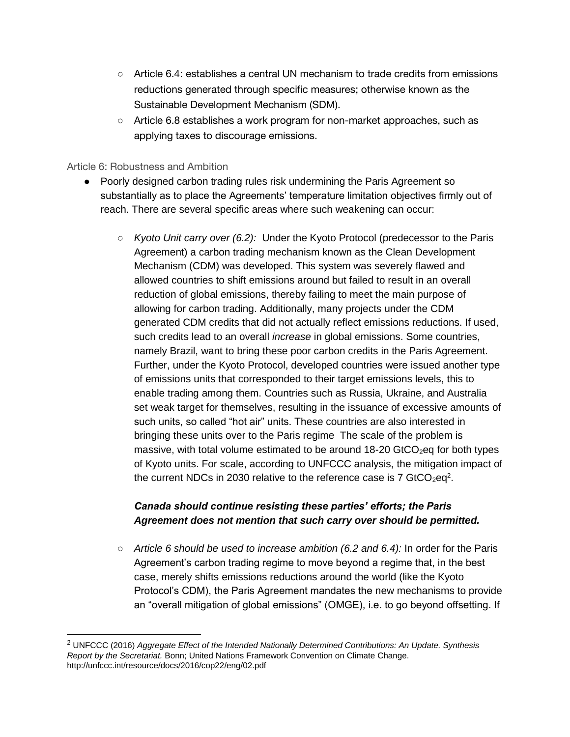- Article 6.4: establishes a central UN mechanism to trade credits from emissions reductions generated through specific measures; otherwise known as the Sustainable Development Mechanism (SDM).
- Article 6.8 establishes a work program for non-market approaches, such as applying taxes to discourage emissions.

#### Article 6: Robustness and Ambition

- Poorly designed carbon trading rules risk undermining the Paris Agreement so substantially as to place the Agreements' temperature limitation objectives firmly out of reach. There are several specific areas where such weakening can occur:
	- *Kyoto Unit carry over (6.2):* Under the Kyoto Protocol (predecessor to the Paris Agreement) a carbon trading mechanism known as the Clean Development Mechanism (CDM) was developed. This system was severely flawed and allowed countries to shift emissions around but failed to result in an overall reduction of global emissions, thereby failing to meet the main purpose of allowing for carbon trading. Additionally, many projects under the CDM generated CDM credits that did not actually reflect emissions reductions. If used, such credits lead to an overall *increase* in global emissions. Some countries, namely Brazil, want to bring these poor carbon credits in the Paris Agreement. Further, under the Kyoto Protocol, developed countries were issued another type of emissions units that corresponded to their target emissions levels, this to enable trading among them. Countries such as Russia, Ukraine, and Australia set weak target for themselves, resulting in the issuance of excessive amounts of such units, so called "hot air" units. These countries are also interested in bringing these units over to the Paris regime The scale of the problem is massive, with total volume estimated to be around  $18-20$  GtCO<sub>2</sub>eq for both types of Kyoto units. For scale, according to UNFCCC analysis, the mitigation impact of the current NDCs in 2030 relative to the reference case is  $7 \text{ GtCO}_2$ eq<sup>2</sup>.

### *Canada should continue resisting these parties' efforts; the Paris Agreement does not mention that such carry over should be permitted.*

○ *Article 6 should be used to increase ambition (6.2 and 6.4):* In order for the Paris Agreement's carbon trading regime to move beyond a regime that, in the best case, merely shifts emissions reductions around the world (like the Kyoto Protocol's CDM), the Paris Agreement mandates the new mechanisms to provide an "overall mitigation of global emissions" (OMGE), i.e. to go beyond offsetting. If

<sup>2</sup> UNFCCC (2016) *Aggregate Effect of the Intended Nationally Determined Contributions: An Update. Synthesis Report by the Secretariat.* Bonn; United Nations Framework Convention on Climate Change. http://unfccc.int/resource/docs/2016/cop22/eng/02.pdf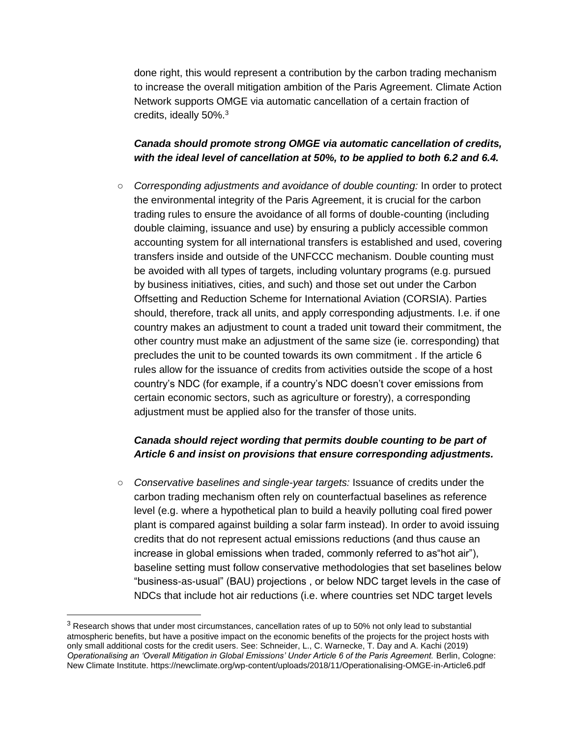done right, this would represent a contribution by the carbon trading mechanism to increase the overall mitigation ambition of the Paris Agreement. Climate Action Network supports OMGE via automatic cancellation of a certain fraction of credits, ideally 50%.<sup>3</sup>

### *Canada should promote strong OMGE via automatic cancellation of credits, with the ideal level of cancellation at 50%, to be applied to both 6.2 and 6.4.*

○ *Corresponding adjustments and avoidance of double counting:* In order to protect the environmental integrity of the Paris Agreement, it is crucial for the carbon trading rules to ensure the avoidance of all forms of double-counting (including double claiming, issuance and use) by ensuring a publicly accessible common accounting system for all international transfers is established and used, covering transfers inside and outside of the UNFCCC mechanism. Double counting must be avoided with all types of targets, including voluntary programs (e.g. pursued by business initiatives, cities, and such) and those set out under the Carbon Offsetting and Reduction Scheme for International Aviation (CORSIA). Parties should, therefore, track all units, and apply corresponding adjustments. I.e. if one country makes an adjustment to count a traded unit toward their commitment, the other country must make an adjustment of the same size (ie. corresponding) that precludes the unit to be counted towards its own commitment . If the article 6 rules allow for the issuance of credits from activities outside the scope of a host country's NDC (for example, if a country's NDC doesn't cover emissions from certain economic sectors, such as agriculture or forestry), a corresponding adjustment must be applied also for the transfer of those units.

### *Canada should reject wording that permits double counting to be part of Article 6 and insist on provisions that ensure corresponding adjustments.*

○ *Conservative baselines and single-year targets:* Issuance of credits under the carbon trading mechanism often rely on counterfactual baselines as reference level (e.g. where a hypothetical plan to build a heavily polluting coal fired power plant is compared against building a solar farm instead). In order to avoid issuing credits that do not represent actual emissions reductions (and thus cause an increase in global emissions when traded, commonly referred to as"hot air"), baseline setting must follow conservative methodologies that set baselines below "business-as-usual" (BAU) projections , or below NDC target levels in the case of NDCs that include hot air reductions (i.e. where countries set NDC target levels

 $\overline{a}$ 

<sup>3</sup> Research shows that under most circumstances, cancellation rates of up to 50% not only lead to substantial atmospheric benefits, but have a positive impact on the economic benefits of the projects for the project hosts with only small additional costs for the credit users. See: Schneider, L., C. Warnecke, T. Day and A. Kachi (2019) *Operationalising an 'Overall Mitigation in Global Emissions' Under Article 6 of the Paris Agreement.* Berlin, Cologne: New Climate Institute. https://newclimate.org/wp-content/uploads/2018/11/Operationalising-OMGE-in-Article6.pdf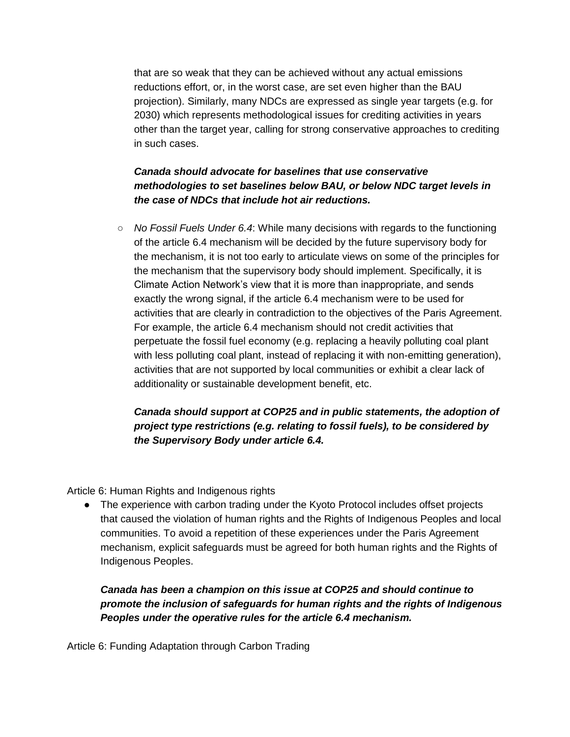that are so weak that they can be achieved without any actual emissions reductions effort, or, in the worst case, are set even higher than the BAU projection). Similarly, many NDCs are expressed as single year targets (e.g. for 2030) which represents methodological issues for crediting activities in years other than the target year, calling for strong conservative approaches to crediting in such cases.

# *Canada should advocate for baselines that use conservative methodologies to set baselines below BAU, or below NDC target levels in the case of NDCs that include hot air reductions.*

○ *No Fossil Fuels Under 6.4*: While many decisions with regards to the functioning of the article 6.4 mechanism will be decided by the future supervisory body for the mechanism, it is not too early to articulate views on some of the principles for the mechanism that the supervisory body should implement. Specifically, it is Climate Action Network's view that it is more than inappropriate, and sends exactly the wrong signal, if the article 6.4 mechanism were to be used for activities that are clearly in contradiction to the objectives of the Paris Agreement. For example, the article 6.4 mechanism should not credit activities that perpetuate the fossil fuel economy (e.g. replacing a heavily polluting coal plant with less polluting coal plant, instead of replacing it with non-emitting generation), activities that are not supported by local communities or exhibit a clear lack of additionality or sustainable development benefit, etc.

# *Canada should support at COP25 and in public statements, the adoption of project type restrictions (e.g. relating to fossil fuels), to be considered by the Supervisory Body under article 6.4.*

Article 6: Human Rights and Indigenous rights

• The experience with carbon trading under the Kyoto Protocol includes offset projects that caused the violation of human rights and the Rights of Indigenous Peoples and local communities. To avoid a repetition of these experiences under the Paris Agreement mechanism, explicit safeguards must be agreed for both human rights and the Rights of Indigenous Peoples.

*Canada has been a champion on this issue at COP25 and should continue to promote the inclusion of safeguards for human rights and the rights of Indigenous Peoples under the operative rules for the article 6.4 mechanism.*

Article 6: Funding Adaptation through Carbon Trading